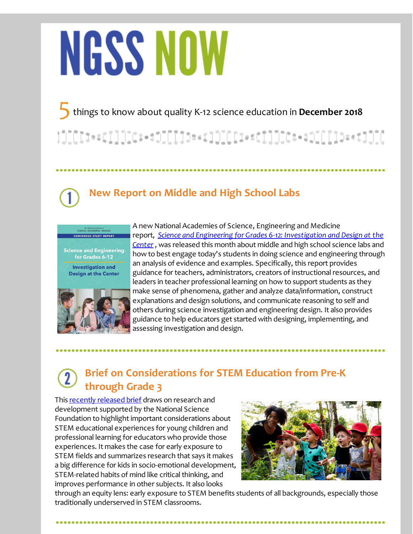# **NGSS NOW**

5things to know about quality K-12 science education in **December <sup>2018</sup>**

## **New Report on Middle and High School Labs**



........................

A new National Academies of Science, Engineering and Medicine report, *[Science](http://r20.rs6.net/tn.jsp?f=001mYHEHQH7AOK4CWksbTtDBZ6RAi8TsuHQlnXX4TSQeqLFoK6PzPAECTzV3X8r18q4Qo77djWVfK5B-sMtgUReaiQ2biht14FYzclZNpWdEdtnvfwIalvw1rWmcioY1k0JzwFmb8iv7alSKzSbgO6hq1ob_H2yv3fACBP_YEPq2_1mR0QgGXJFzMO8mIiliJkx1beM3CmvP-muEABp-GfEiFbPPxKxnAb7pZuJ6F-CY_J0k3GT7OT6fR9IWAgPttzDfip5ITLMYWv3VxohpUENHw==&c=&ch=) and Engineering for Grades 6-12: [Investigation](http://r20.rs6.net/tn.jsp?f=001mYHEHQH7AOK4CWksbTtDBZ6RAi8TsuHQlnXX4TSQeqLFoK6PzPAECTzV3X8r18q4Qo77djWVfK5B-sMtgUReaiQ2biht14FYzclZNpWdEdtnvfwIalvw1rWmcioY1k0JzwFmb8iv7alSKzSbgO6hq1ob_H2yv3fACBP_YEPq2_1mR0QgGXJFzMO8mIiliJkx1beM3CmvP-muEABp-GfEiFbPPxKxnAb7pZuJ6F-CY_J0k3GT7OT6fR9IWAgPttzDfip5ITLMYWv3VxohpUENHw==&c=&ch=) and Design at the Center*, was released this month about middle and high school science labs and how to best engage today's students in doing science and engineering through an analysis of evidence and examples. Specifically, this report provides guidance for teachers, administrators, creators of instructional resources, and leaders in teacher professional learning on how to support students as they make sense of phenomena, gather and analyze data/information, construct explanations and design solutions, and communicate reasoning to self and others during science investigation and engineering design. It also provides guidance to help educators get started with designing, implementing, and assessing investigation and design.

## **Brief on Considerations for STEM Education from Pre-K through Grade 3**

This recently [released](http://r20.rs6.net/tn.jsp?f=001mYHEHQH7AOK4CWksbTtDBZ6RAi8TsuHQlnXX4TSQeqLFoK6PzPAECTzV3X8r18q4DKU2_H5J34lXFYyIGAyrMFsfvDLk6UBvzhoN2w8MYW5hnmko5Ou0w4Cqpsr4ywinee98jwB289_KyLTrbikgkhSrEOShjvALNB89wQzF153v2xAdRciY4T2OEdV3-0_cTadz3APttHOLqiBoLYu51G9h3bduraTYr-Ugh-IgR9U5qJVAQ-9wwQ==&c=&ch=) brief draws on research and development supported by the National Science Foundation to highlight important considerations about STEM educational experiences for young children and professional learning for educators who provide those experiences. It makes the case for early exposure to STEM fields and summarizes research that says it makes a big difference for kids in socio-emotional development, STEM-related habits of mind like critical thinking, and improves performance in other subjects. It also looks



through an equity lens: early exposure to STEM benefits students of all backgrounds, especially those traditionally underserved in STEM classrooms.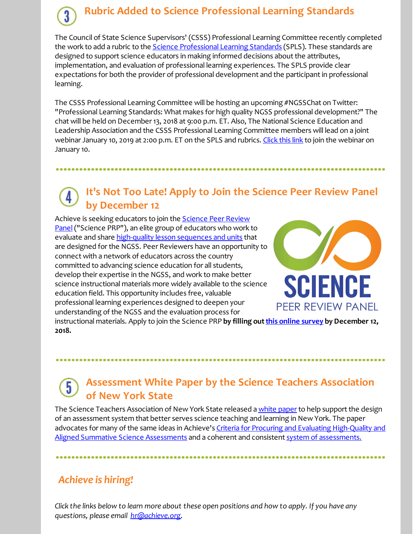## **Rubric Added to Science Professional Learning Standards**

The Council of State Science Supervisors' (CSSS) Professional Learning Committee recently completed the work to add a rubric to the **Science [Professional](http://r20.rs6.net/tn.jsp?f=001mYHEHQH7AOK4CWksbTtDBZ6RAi8TsuHQlnXX4TSQeqLFoK6PzPAECe7fZNeBJgdcvjuvvPVQBQUTY1EVTYROZO2Uf3l-H6qyUpC8RfvnrEMqktFW-G0C5rDpoCE8zaalEV6goB0LSBH6Wb1xJMJ3DqB599o8_B8w5MR19miTD68Y-CbjTWhAfUkPHK6DPgmM&c=&ch=) Learning Standards** (SPLS). These standards are designed to support science educators in making informed decisions about the attributes, implementation, and evaluation of professional learning experiences. The SPLS provide clear expectations for both the provider of professional development and the participant in professional learning.

The CSSS Professional Learning Committee will be hosting an upcoming #NGSSChat on Twitter: "Professional Learning Standards: What makes for high quality NGSS professional development?" The chat will be held on December 13, 2018 at 9:00 p.m. ET. Also, The National Science Education and Leadership Association and the CSSS Professional Learning Committee members will lead on a joint webinar January 10, 2019 at 2:00 p.m. ET on the SPLS and rubrics. [Click](http://r20.rs6.net/tn.jsp?f=001mYHEHQH7AOK4CWksbTtDBZ6RAi8TsuHQlnXX4TSQeqLFoK6PzPAECe7fZNeBJgdc1rmWLTkwe-D914H6ZIheaIm8LWrDMPCVZKYlRNMaibHx_GH-bTR9mCK4gKOsKdryQmLmM2O2_ZjKk642zM5OtF30-6iAQN1iswGVkDzJBlw0b0yiJTmApw==&c=&ch=) this link to join the webinar on January 10.

## **It's Not Too Late! Apply to Join the Science Peer Review Panel by December 12**

Achieve is seeking educators to join the **Science Peer Review** Panel ("Science PRP"), an elite group of educators who work to evaluate and share [high-quality](http://r20.rs6.net/tn.jsp?f=001mYHEHQH7AOK4CWksbTtDBZ6RAi8TsuHQlnXX4TSQeqLFoK6PzPAECVvr3SOI1PKWAbsW2hLoArZOGS-weWWDpJ_nDlZ7JR2jSlUGSC8XWErs7Qay66Z3ya8-Evb49CQem3stoqHuZ4zu7Kz3TfUF6nEh5czJij3xAnwcCUbf1AKtyxAv5Jq18LTe1kTXbJNK_hM5gHFIePOqwNWGJsHH2UBGa3BhNHodsDU_NkMMz4Y=&c=&ch=) lesson sequences and units that are designed for the NGSS. Peer Reviewers have an opportunity to connect with a network of educators across the country committed to advancing science education for all students, develop their expertise in the NGSS, and work to make better science instructional materials more widely available to the science education field. This opportunity includes free, valuable professional learning experiences designed to deepen your understanding of the NGSS and the evaluation process for



instructional materials. Apply to join the Science PRP by filling out this online [survey](http://r20.rs6.net/tn.jsp?f=001mYHEHQH7AOK4CWksbTtDBZ6RAi8TsuHQlnXX4TSQeqLFoK6PzPAECSaiom5CSLZ_7yyC_nAiUEMtXtGsMtDPJfCj70jehHJdohIHhEC62m9rNK8u0Z8zEFhoVXuVnty9zB-mQMVYdN5DupOge1p6GwibfNPC9QA-zyWckmD2RNu9g5GNzKGq9BN12Ju4VizOQkeA7wzcejONBVYRBSAOz72w67TY29oETK1oIf9--oPxkg0Wft9uSlXy6Mb9XZOxpNtR7l6vq5GbyOSRwdwMLPdxQEvwsrV4&c=&ch=) by December 12, **2018.**

## **Assessment White Paper by the Science Teachers Association of New York State**

The Science Teachers Association of New York State released a white [paper](http://r20.rs6.net/tn.jsp?f=001mYHEHQH7AOK4CWksbTtDBZ6RAi8TsuHQlnXX4TSQeqLFoK6PzPAECTzV3X8r18q4vNRjeki1BU-a7l8sWwEA5M24v5rtaiTdeVpybnv-Wrg__MK_T3h21gituOXX25fWV0874IUrF90B0e1s6TxjpIAkY8Nss-fNw5gRvpQ4Sg5A_ADg8Aepv46KMoolZe1cgqOX24WRYdk=&c=&ch=) to help support the design of an assessment system that better serves science teaching and learning in New York. The paper advocates for many of the same ideas in Achieve's Criteria for Procuring and Evaluating High-Quality and Aligned Summative Science Assessments and a coherent and consistent system of [assessments.](http://r20.rs6.net/tn.jsp?f=001mYHEHQH7AOK4CWksbTtDBZ6RAi8TsuHQlnXX4TSQeqLFoK6PzPAECXbvzYwGN5U_VgORkaensl0PbODWawo5jFA0EJf3EPjc0-pip0DphqLx3qFIqn33x9n6EcutaPKrYi5d421_SDm7Wr0Aqsfc78NNCgiNdM1NvUZu6fvfrXOOK3tdLeb_zmq81AGuxX2MmdltUhXi2alV6kBEq-bWW3Bsl3vj0LE5&c=&ch=)

#### *Achieve is hiring!*

Click the links below to learn more about these open positions and how to apply. If you have any *questions, please email [hr@achieve.org](mailto:hr@achieve.org).*